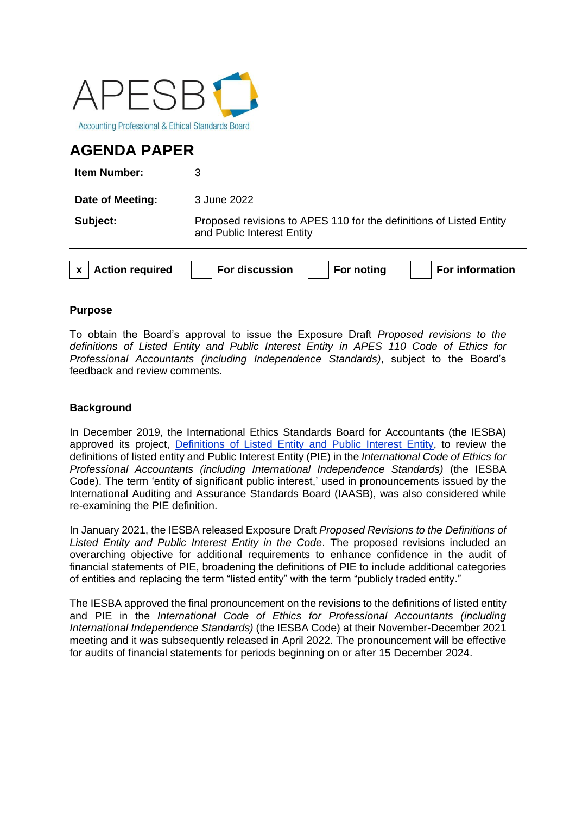

# **AGENDA PAPER**

**Item Number:** 3

**Date of Meeting:** 3 June 2022

**Subject:** Proposed revisions to APES 110 for the definitions of Listed Entity and Public Interest Entity

| $\vert x \vert$ Action required | $\mid$ For discussion $\mid \quad \mid$ For noting | For information |
|---------------------------------|----------------------------------------------------|-----------------|
|                                 |                                                    |                 |

## **Purpose**

To obtain the Board's approval to issue the Exposure Draft *Proposed revisions to the definitions of Listed Entity and Public Interest Entity in APES 110 Code of Ethics for Professional Accountants (including Independence Standards)*, subject to the Board's feedback and review comments.

## **Background**

In December 2019, the International Ethics Standards Board for Accountants (the IESBA) approved its project, [Definitions of Listed Entity and Public Interest Entity,](https://www.ifac.org/system/files/meetings/files/Agenda-Item-3-Definitions-of-Listed-Entity-and-PIE-Approved-Project-Proposal.pdf) to review the definitions of listed entity and Public Interest Entity (PIE) in the *International Code of Ethics for Professional Accountants (including International Independence Standards)* (the IESBA Code). The term 'entity of significant public interest,' used in pronouncements issued by the International Auditing and Assurance Standards Board (IAASB), was also considered while re-examining the PIE definition.

In January 2021, the IESBA released Exposure Draft *Proposed Revisions to the Definitions of Listed Entity and Public Interest Entity in the Code*. The proposed revisions included an overarching objective for additional requirements to enhance confidence in the audit of financial statements of PIE, broadening the definitions of PIE to include additional categories of entities and replacing the term "listed entity" with the term "publicly traded entity."

The IESBA approved the final pronouncement on the revisions to the definitions of listed entity and PIE in the *International Code of Ethics for Professional Accountants (including International Independence Standards)* (the IESBA Code) at their November-December 2021 meeting and it was subsequently released in April 2022. The pronouncement will be effective for audits of financial statements for periods beginning on or after 15 December 2024.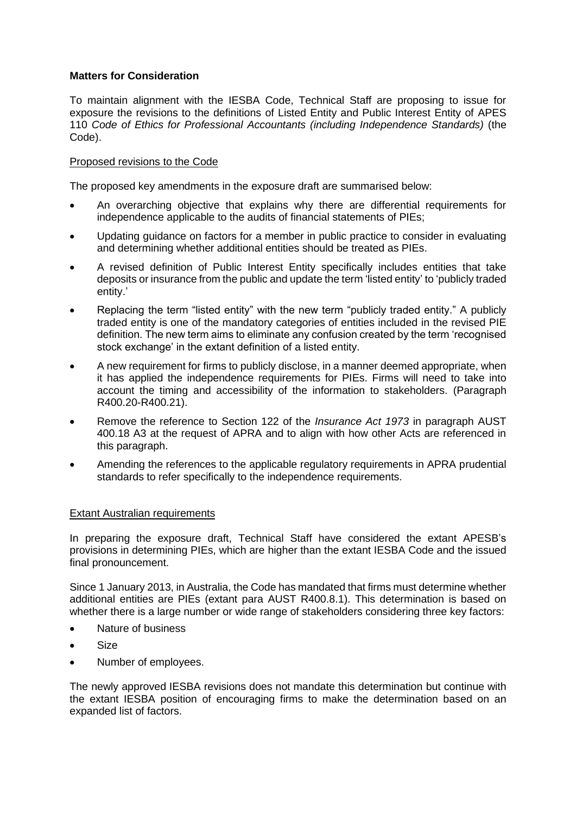### **Matters for Consideration**

To maintain alignment with the IESBA Code, Technical Staff are proposing to issue for exposure the revisions to the definitions of Listed Entity and Public Interest Entity of APES 110 *Code of Ethics for Professional Accountants (including Independence Standards)* (the Code).

### Proposed revisions to the Code

The proposed key amendments in the exposure draft are summarised below:

- An overarching objective that explains why there are differential requirements for independence applicable to the audits of financial statements of PIEs;
- Updating guidance on factors for a member in public practice to consider in evaluating and determining whether additional entities should be treated as PIEs.
- A revised definition of Public Interest Entity specifically includes entities that take deposits or insurance from the public and update the term 'listed entity' to 'publicly traded entity.'
- Replacing the term "listed entity" with the new term "publicly traded entity." A publicly traded entity is one of the mandatory categories of entities included in the revised PIE definition. The new term aims to eliminate any confusion created by the term 'recognised stock exchange' in the extant definition of a listed entity.
- A new requirement for firms to publicly disclose, in a manner deemed appropriate, when it has applied the independence requirements for PIEs. Firms will need to take into account the timing and accessibility of the information to stakeholders. (Paragraph R400.20-R400.21).
- Remove the reference to Section 122 of the *Insurance Act 1973* in paragraph AUST 400.18 A3 at the request of APRA and to align with how other Acts are referenced in this paragraph.
- Amending the references to the applicable regulatory requirements in APRA prudential standards to refer specifically to the independence requirements.

#### Extant Australian requirements

In preparing the exposure draft, Technical Staff have considered the extant APESB's provisions in determining PIEs, which are higher than the extant IESBA Code and the issued final pronouncement.

Since 1 January 2013, in Australia, the Code has mandated that firms must determine whether additional entities are PIEs (extant para AUST R400.8.1). This determination is based on whether there is a large number or wide range of stakeholders considering three key factors:

- Nature of business
- Size
- Number of employees.

The newly approved IESBA revisions does not mandate this determination but continue with the extant IESBA position of encouraging firms to make the determination based on an expanded list of factors.